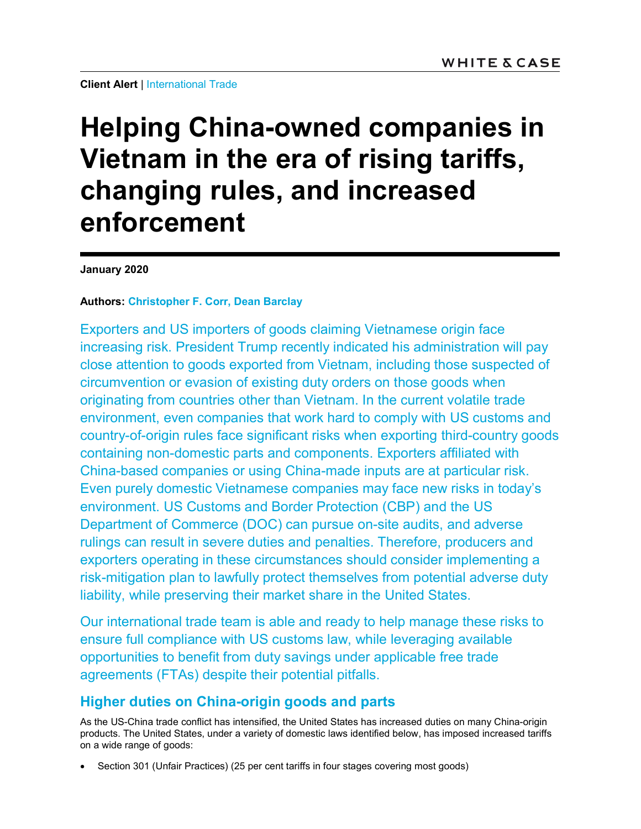**Client Alert | International Trade** 

# Helping China-owned companies in Vietnam in the era of rising tariffs, changing rules, and increased enforcement

January 2020

#### Authors: Christopher F. Corr, Dean Barclay

Exporters and US importers of goods claiming Vietnamese origin face increasing risk. President Trump recently indicated his administration will pay close attention to goods exported from Vietnam, including those suspected of circumvention or evasion of existing duty orders on those goods when originating from countries other than Vietnam. In the current volatile trade environment, even companies that work hard to comply with US customs and country-of-origin rules face significant risks when exporting third-country goods containing non-domestic parts and components. Exporters affiliated with China-based companies or using China-made inputs are at particular risk. Even purely domestic Vietnamese companies may face new risks in today's environment. US Customs and Border Protection (CBP) and the US Department of Commerce (DOC) can pursue on-site audits, and adverse rulings can result in severe duties and penalties. Therefore, producers and exporters operating in these circumstances should consider implementing a risk-mitigation plan to lawfully protect themselves from potential adverse duty liability, while preserving their market share in the United States.

Our international trade team is able and ready to help manage these risks to ensure full compliance with US customs law, while leveraging available opportunities to benefit from duty savings under applicable free trade agreements (FTAs) despite their potential pitfalls.

## Higher duties on China-origin goods and parts

As the US-China trade conflict has intensified, the United States has increased duties on many China-origin products. The United States, under a variety of domestic laws identified below, has imposed increased tariffs on a wide range of goods:

Section 301 (Unfair Practices) (25 per cent tariffs in four stages covering most goods)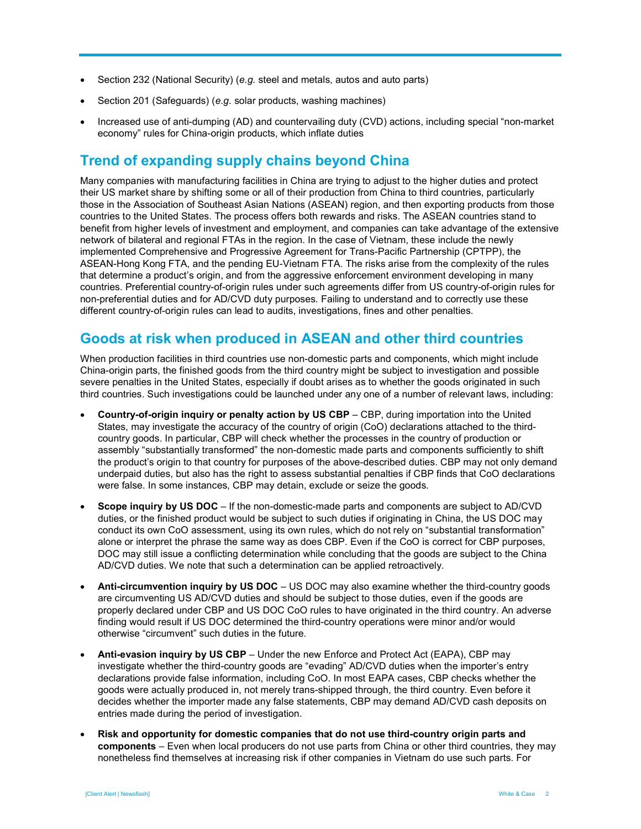- Section 232 (National Security) (e.g. steel and metals, autos and auto parts)
- Section 201 (Safeguards) (e.g. solar products, washing machines)
- Increased use of anti-dumping (AD) and countervailing duty (CVD) actions, including special "non-market economy" rules for China-origin products, which inflate duties

#### Trend of expanding supply chains beyond China

Many companies with manufacturing facilities in China are trying to adjust to the higher duties and protect their US market share by shifting some or all of their production from China to third countries, particularly those in the Association of Southeast Asian Nations (ASEAN) region, and then exporting products from those countries to the United States. The process offers both rewards and risks. The ASEAN countries stand to benefit from higher levels of investment and employment, and companies can take advantage of the extensive network of bilateral and regional FTAs in the region. In the case of Vietnam, these include the newly implemented Comprehensive and Progressive Agreement for Trans-Pacific Partnership (CPTPP), the ASEAN-Hong Kong FTA, and the pending EU-Vietnam FTA. The risks arise from the complexity of the rules that determine a product's origin, and from the aggressive enforcement environment developing in many countries. Preferential country-of-origin rules under such agreements differ from US country-of-origin rules for non-preferential duties and for AD/CVD duty purposes. Failing to understand and to correctly use these different country-of-origin rules can lead to audits, investigations, fines and other penalties.

#### Goods at risk when produced in ASEAN and other third countries

When production facilities in third countries use non-domestic parts and components, which might include China-origin parts, the finished goods from the third country might be subject to investigation and possible severe penalties in the United States, especially if doubt arises as to whether the goods originated in such third countries. Such investigations could be launched under any one of a number of relevant laws, including:

- Country-of-origin inquiry or penalty action by US CBP CBP, during importation into the United States, may investigate the accuracy of the country of origin (CoO) declarations attached to the thirdcountry goods. In particular, CBP will check whether the processes in the country of production or assembly "substantially transformed" the non-domestic made parts and components sufficiently to shift the product's origin to that country for purposes of the above-described duties. CBP may not only demand underpaid duties, but also has the right to assess substantial penalties if CBP finds that CoO declarations were false. In some instances, CBP may detain, exclude or seize the goods.
- Scope inquiry by US DOC If the non-domestic-made parts and components are subject to AD/CVD duties, or the finished product would be subject to such duties if originating in China, the US DOC may conduct its own CoO assessment, using its own rules, which do not rely on "substantial transformation" alone or interpret the phrase the same way as does CBP. Even if the CoO is correct for CBP purposes, DOC may still issue a conflicting determination while concluding that the goods are subject to the China AD/CVD duties. We note that such a determination can be applied retroactively.
- Anti-circumvention inquiry by US DOC US DOC may also examine whether the third-country goods are circumventing US AD/CVD duties and should be subject to those duties, even if the goods are properly declared under CBP and US DOC CoO rules to have originated in the third country. An adverse finding would result if US DOC determined the third-country operations were minor and/or would otherwise "circumvent" such duties in the future.
- Anti-evasion inquiry by US CBP Under the new Enforce and Protect Act (EAPA), CBP may investigate whether the third-country goods are "evading" AD/CVD duties when the importer's entry declarations provide false information, including CoO. In most EAPA cases, CBP checks whether the goods were actually produced in, not merely trans-shipped through, the third country. Even before it decides whether the importer made any false statements, CBP may demand AD/CVD cash deposits on entries made during the period of investigation.
- Risk and opportunity for domestic companies that do not use third-country origin parts and components – Even when local producers do not use parts from China or other third countries, they may nonetheless find themselves at increasing risk if other companies in Vietnam do use such parts. For